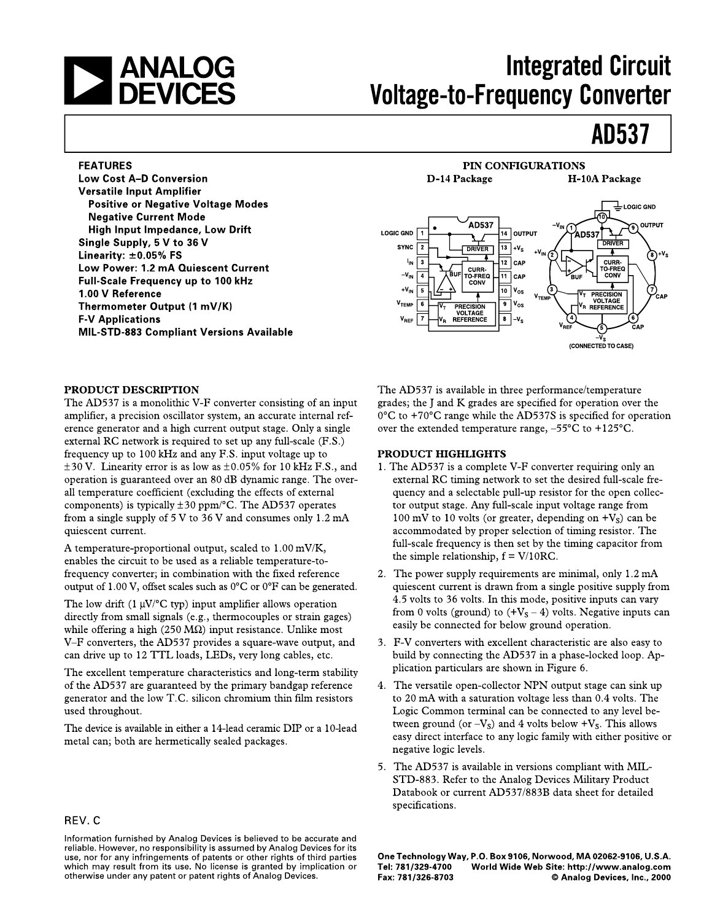

## **Integrated Circuit Voltage-to-Frequency Converter**

## **AD537**

#### **FEATURES**

**Low Cost A-D Conversion Versatile Input Amplifier Positive or Negative Voltage Modes Negative Current Mode** High Input Impedance, Low Drift Single Supply, 5 V to 36 V Linearity:  $\pm 0.05\%$  FS Low Power: 1.2 mA Quiescent Current Full-Scale Frequency up to 100 kHz 1.00 V Reference Thermometer Output (1 mV/K) **F-V Applications MIL-STD-883 Compliant Versions Available** 

#### PIN CONFIGURATIONS D-14 Package H-10A Package  $\mathbb E$  LOGIC GND **AD537** OUTPUT **LOGIC GND** 14 OUTPUT **AD537 DRIVER SYNC**  $\overline{2}$ **DRIVER**  $13$  +V<sub>S</sub> ₮  $\delta^{+\mathsf{V}_\mathsf{S}}$  $\overline{12}$  CAP **CURR-IN** l 3 **TO-FREQ** CURR  $-\mathbf{V}_{\mathsf{IN}}$ O-FREQ  $11$  CAP CONV  $\overline{4}$  $+V_{IN}$ 10 | V<sub>OS</sub> 5 PRECISION<br>VOLTAGE<br>REFERENCE  $v_{\text{ten}}$ V<sub>TEMP</sub>  $\overline{6}$  $9|V_{OS}$ PRECISION<br>VOLTAGE<br>REFERENCE  $\mathbf{V}_{\mathsf{REF}}$  $\overline{8}$  -V<sub>S</sub> (CONNECTED TO CASE)

#### PRODUCT DESCRIPTION

The AD537 is a monolithic V-F converter consisting of an input amplifier, a precision oscillator system, an accurate internal reference generator and a high current output stage. Only a single external RC network is required to set up any full-scale (F.S.) frequency up to 100 kHz and any F.S. input voltage up to  $\pm 30$  V. Linearity error is as low as  $\pm 0.05\%$  for 10 kHz F.S., and operation is guaranteed over an 80 dB dynamic range. The overall temperature coefficient (excluding the effects of external components) is typically  $\pm 30$  ppm/ $\degree$ C. The AD537 operates from a single supply of  $5V$  to  $36V$  and consumes only  $1.2 \text{ mA}$ quiescent current.

A temperature-proportional output, scaled to 1.00 mV/K, enables the circuit to be used as a reliable temperature-tofrequency converter; in combination with the fixed reference output of 1.00 V, offset scales such as  $0^{\circ}$ C or  $0^{\circ}$ F can be generated.

The low drift (1  $\mu$ V/°C typ) input amplifier allows operation directly from small signals (e.g., thermocouples or strain gages) while offering a high (250 M $\Omega$ ) input resistance. Unlike most V-F converters, the AD537 provides a square-wave output, and can drive up to 12 TTL loads, LEDs, very long cables, etc.

The excellent temperature characteristics and long-term stability of the AD537 are guaranteed by the primary bandgap reference generator and the low T.C. silicon chromium thin film resistors used throughout.

The device is available in either a 14-lead ceramic DIP or a 10-lead metal can; both are hermetically sealed packages.

### REV.C

Information furnished by Analog Devices is believed to be accurate and reliable. However, no responsibility is assumed by Analog Devices for its use, nor for any infringements of patents or other rights of third parties which may result from its use. No license is granted by implication or otherwise under any patent or patent rights of Analog Devices.

The AD537 is available in three performance/temperature grades; the J and K grades are specified for operation over the  $0^{\circ}$ C to +70°C range while the AD537S is specified for operation over the extended temperature range,  $-55^{\circ}$ C to  $+125^{\circ}$ C.

#### **PRODUCT HIGHLIGHTS**

- 1. The AD537 is a complete V-F converter requiring only an external RC timing network to set the desired full-scale frequency and a selectable pull-up resistor for the open collector output stage. Any full-scale input voltage range from 100 mV to 10 volts (or greater, depending on  $+V_s$ ) can be accommodated by proper selection of timing resistor. The full-scale frequency is then set by the timing capacitor from the simple relationship,  $f = V/10RC$ .
- 2. The power supply requirements are minimal, only 1.2 mA quiescent current is drawn from a single positive supply from 4.5 volts to 36 volts. In this mode, positive inputs can vary from 0 volts (ground) to  $(+V<sub>S</sub> - 4)$  volts. Negative inputs can easily be connected for below ground operation.
- 3. F-V converters with excellent characteristic are also easy to build by connecting the AD537 in a phase-locked loop. Application particulars are shown in Figure 6.
- 4. The versatile open-collector NPN output stage can sink up to 20 mA with a saturation voltage less than 0.4 volts. The Logic Common terminal can be connected to any level between ground (or  $-V_s$ ) and 4 volts below  $+V_s$ . This allows easy direct interface to any logic family with either positive or negative logic levels.
- 5. The AD537 is available in versions compliant with MIL-STD-883. Refer to the Analog Devices Military Product Databook or current AD537/883B data sheet for detailed specifications.

One Technology Way, P.O. Box 9106, Norwood, MA 02062-9106, U.S.A. Tel: 781/329-4700 World Wide Web Site: http://www.analog.com Fax: 781/326-8703 © Analog Devices, Inc., 2000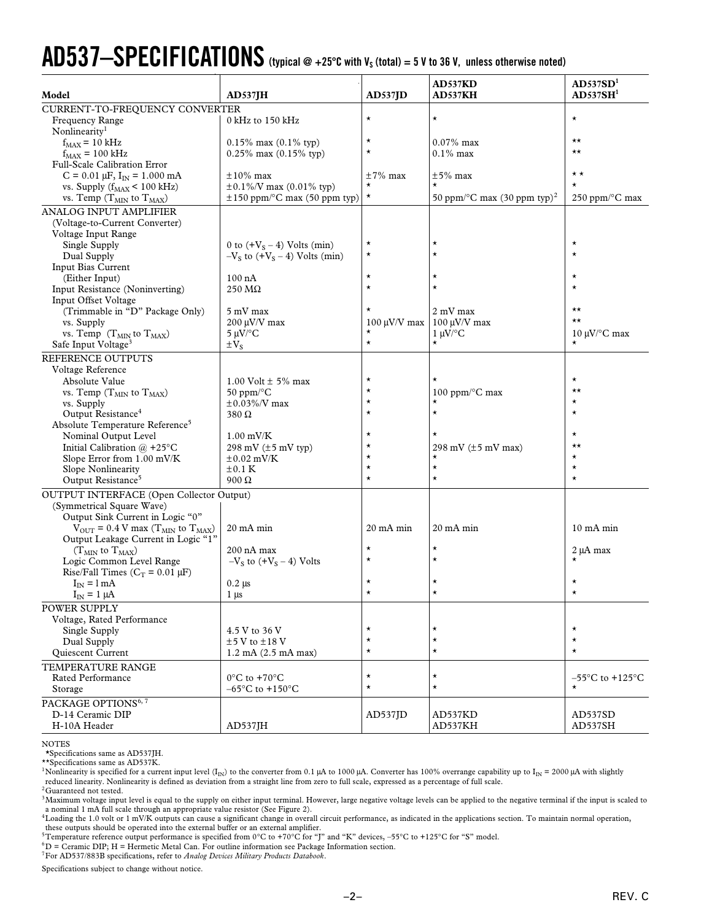# $AD537-SPECTIFICATIONS$  (typical @ +25°C with V<sub>s</sub> (total) = 5 V to 36 V, unless otherwise noted)

| Model                                                                | $AD537$ $IH$                        | $AD537$ JD           | AD537KD<br><b>AD537KH</b>                             | AD537SD <sup>1</sup><br>AD537SH <sup>1</sup> |
|----------------------------------------------------------------------|-------------------------------------|----------------------|-------------------------------------------------------|----------------------------------------------|
| CURRENT-TO-FREQUENCY CONVERTER                                       |                                     |                      |                                                       |                                              |
| <b>Frequency Range</b><br>Nonlinearity <sup>1</sup>                  | 0 kHz to 150 kHz                    | $\star$              | $^{\star}$                                            | $\star$                                      |
| $f_{MAX} = 10$ kHz                                                   | $0.15\%$ max $(0.1\%$ typ)          | $^\star$             | $0.07\%$ max                                          | $\star\star$                                 |
| $f_{MAX}$ = 100 kHz                                                  | $0.25\%$ max $(0.15\%$ typ)         | $\star$              | $0.1\%$ max                                           | $\star\star$                                 |
| Full-Scale Calibration Error                                         |                                     |                      |                                                       |                                              |
| $C = 0.01 \mu F$ , $I_{IN} = 1.000 \text{ mA}$                       | $\pm 10\%$ max                      | $\pm 7\%$ max        | $\pm 5\%$ max                                         | $\star \star$                                |
| vs. Supply $(f_{MAX} < 100$ kHz)                                     | $\pm 0.1\%$ /V max (0.01% typ)      | $^\star$             |                                                       | $^\star$                                     |
| vs. Temp $(T_{MIN}$ to $T_{MAX}$ )                                   | $\pm 150$ ppm/°C max (50 ppm typ)   | $\star$              | 50 ppm/ $\rm ^{\circ}C$ max (30 ppm typ) <sup>2</sup> | 250 ppm/°C max                               |
| <b>ANALOG INPUT AMPLIFIER</b>                                        |                                     |                      |                                                       |                                              |
| (Voltage-to-Current Converter)                                       |                                     |                      |                                                       |                                              |
| Voltage Input Range                                                  |                                     |                      |                                                       |                                              |
| Single Supply                                                        | 0 to $(+VS - 4)$ Volts (min)        | $^\star$             | $^\star$                                              | $\star$                                      |
| Dual Supply                                                          | $-VS$ to $(VS - 4)$ Volts (min)     | $^\star$             | $^\star$                                              | $\star$                                      |
| Input Bias Current                                                   |                                     |                      |                                                       |                                              |
| (Either Input)                                                       | $100 \text{ nA}$                    | $^\star$             | $^\star$                                              | $^\star$                                     |
| Input Resistance (Noninverting)                                      | $250 \text{ M}\Omega$               | $\star$              | $\star$                                               | $\star$                                      |
| Input Offset Voltage                                                 |                                     |                      |                                                       |                                              |
| (Trimmable in "D" Package Only)                                      | 5 mV max                            |                      | 2 mV max                                              | $\star\star$                                 |
| vs. Supply                                                           | $200 \mu V/V$ max                   | $100 \mu V/V$ max    | $100 \mu V/V$ max                                     | $\star\star$                                 |
| vs. Temp $(T_{MIN}$ to $T_{MAX}$ )                                   | $5 \mu V$ °C                        | $^\star$             | $1 \mu V$ <sup>o</sup> C                              | $10 \mu$ V/°C max                            |
| Safe Input Voltage <sup>3</sup>                                      | $\pm V_{S}$                         | $\star$              | $\star$                                               |                                              |
| REFERENCE OUTPUTS                                                    |                                     |                      |                                                       |                                              |
| Voltage Reference                                                    |                                     |                      |                                                       |                                              |
| Absolute Value                                                       | 1.00 Volt $\pm$ 5% max              | $^\star$             |                                                       | $^\star$                                     |
| vs. Temp $(T_{MIN}$ to $T_{MAX}$ )                                   | $50$ ppm/ $\mathrm{^{\circ}C}$      | $^\star$             | 100 ppm/°C max                                        | $\star\star$                                 |
| vs. Supply                                                           | $\pm 0.03\%$ /V max                 | $^\star$             | $\star$                                               | $^\star$                                     |
| Output Resistance <sup>4</sup>                                       | $380 \Omega$                        | $\star$              | $\star$                                               | $^\star$                                     |
| Absolute Temperature Reference <sup>5</sup>                          |                                     |                      |                                                       |                                              |
| Nominal Output Level                                                 | $1.00$ mV/K                         | $^\star$             |                                                       | $^\star$                                     |
| Initial Calibration $(a) + 25$ °C                                    | 298 mV $(\pm 5$ mV typ)             | $^\star$             | 298 mV $(\pm 5$ mV max)                               | $\star\star$                                 |
| Slope Error from 1.00 mV/K                                           | $\pm 0.02$ mV/K                     | $^\star$             | $^\star$                                              | $^\star$                                     |
| <b>Slope Nonlinearity</b>                                            | $\pm 0.1$ K                         | $\star$<br>$\star$   | $^\star$                                              | $\star$                                      |
| Output Resistance <sup>5</sup>                                       | $900 \Omega$                        |                      | $\star$                                               | $^\star$                                     |
| <b>OUTPUT INTERFACE (Open Collector Output)</b>                      |                                     |                      |                                                       |                                              |
| (Symmetrical Square Wave)                                            |                                     |                      |                                                       |                                              |
| Output Sink Current in Logic "0"                                     |                                     |                      |                                                       |                                              |
| $V_{\text{OUT}}$ = 0.4 V max (T <sub>MIN</sub> to T <sub>MAX</sub> ) | 20 mA min                           | $20 \text{ mA min}$  | 20 mA min                                             | $10 \text{ mA min}$                          |
| Output Leakage Current in Logic "1"                                  |                                     |                      |                                                       |                                              |
| $(T_{MIN}$ to $T_{MAX}$ )                                            | 200 nA max                          | $^\star$<br>$^\star$ | $\star$<br>$^\star$                                   | 2 µA max                                     |
| Logic Common Level Range                                             | $-VS$ to $(+VS - 4)$ Volts          |                      |                                                       |                                              |
| Rise/Fall Times ( $C_T$ = 0.01 $\mu$ F)                              |                                     | $^\star$             | *                                                     | $^\star$                                     |
| $I_{IN} = 1 mA$                                                      | $0.2 \mu s$                         | $^\star$             | $^\star$                                              |                                              |
| $I_{IN} = 1 \mu A$                                                   | $1 \mu s$                           |                      |                                                       |                                              |
| POWER SUPPLY                                                         |                                     |                      |                                                       |                                              |
| Voltage, Rated Performance                                           |                                     |                      |                                                       |                                              |
| Single Supply                                                        | 4.5 V to 36 V                       | $\star$<br>$\star$   | $^\star$<br>$\star$                                   | $\star$<br>$\star$                           |
| Dual Supply                                                          | $±5$ V to $±18$ V                   | $\star$              | $\star$                                               | $^\star$                                     |
| Quiescent Current                                                    | $1.2 \text{ mA}$ (2.5 mA max)       |                      |                                                       |                                              |
| TEMPERATURE RANGE                                                    |                                     |                      |                                                       |                                              |
| Rated Performance                                                    | $0^{\circ}$ C to +70 $^{\circ}$ C   | $\star$              | $^\star$                                              | $-55^{\circ}$ C to $+125^{\circ}$ C          |
| Storage                                                              | $-65^{\circ}$ C to $+150^{\circ}$ C | $\star$              | $\star$                                               |                                              |
| PACKAGE OPTIONS <sup>6, 7</sup>                                      |                                     |                      |                                                       |                                              |
| D-14 Ceramic DIP                                                     |                                     | AD537JD              | AD537KD                                               | AD537SD                                      |
| H-10A Header                                                         | AD537JH                             |                      | AD537KH                                               | AD537SH                                      |

NOTES

**\***Specifications same as AD537JH.

\*\*Specifications same as AD537K.<br><sup>1</sup>Nonlinearity is specified for a current input level (I<sub>IN</sub>) to the converter from 0.1 µA to 1000 µA. Converter has 100% overrange capability up to I<sub>IN</sub> = 2000 µA with slightly reduced linearity. Nonlinearity is defined as deviation from a straight line from zero to full scale, expressed as a percentage of full scale.

 $2$ Guaranteed not tested.

<sup>3</sup>Maximum voltage input level is equal to the supply on either input terminal. However, large negative voltage levels can be applied to the negative terminal if the input is scaled to <sup>3</sup>Maximum voltage input level is equ a nominal 1 mA full scale through an appropriate value resistor (See Figure 2).

<sup>4</sup>Loading the 1.0 volt or 1 mV/K outputs can cause a significant change in overall circuit performance, as indicated in the applications section. To maintain normal operation, these outputs should be operated into the external buffer or an external amplifier.

5Temperature reference output performance is specified from 0°C to +70°C for "J" and "K" devices, –55°C to +125°C for "S" model.

 ${}^{6}D$  = Ceramic DIP; H = Hermetic Metal Can. For outline information see Package Information section.

7For AD537/883B specifications, refer to *Analog Devices Military Products Databook*.

Specifications subject to change without notice.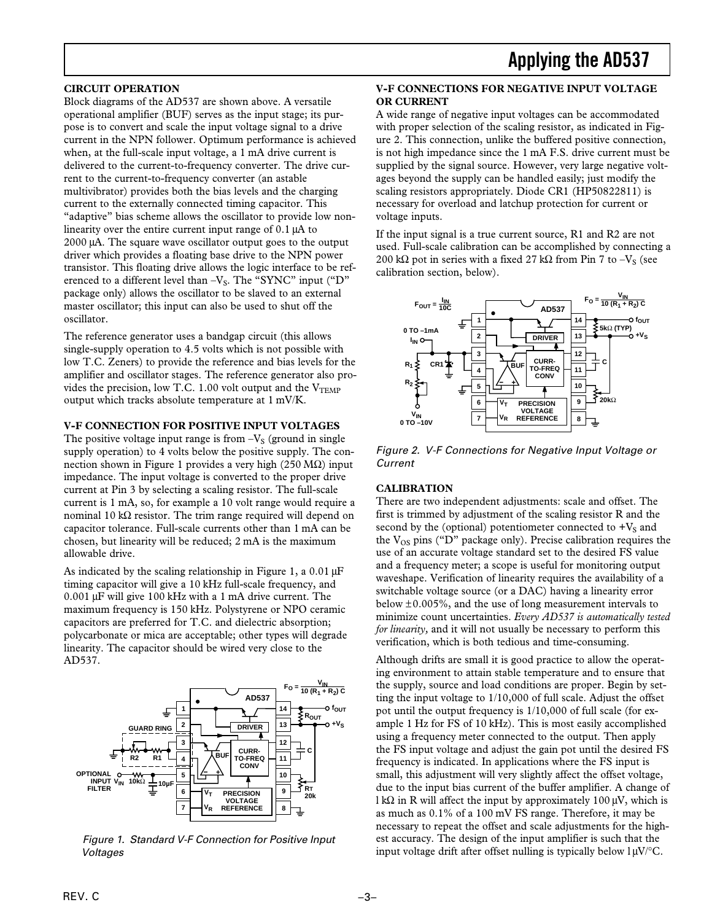#### **CIRCUIT OPERATION**

Block diagrams of the AD537 are shown above. A versatile operational amplifier (BUF) serves as the input stage; its purpose is to convert and scale the input voltage signal to a drive current in the NPN follower. Optimum performance is achieved when, at the full-scale input voltage, a 1 mA drive current is delivered to the current-to-frequency converter. The drive current to the current-to-frequency converter (an astable multivibrator) provides both the bias levels and the charging current to the externally connected timing capacitor. This "adaptive" bias scheme allows the oscillator to provide low nonlinearity over the entire current input range of 0.1 µA to 2000 µA. The square wave oscillator output goes to the output driver which provides a floating base drive to the NPN power transistor. This floating drive allows the logic interface to be referenced to a different level than  $-V_s$ . The "SYNC" input ("D" package only) allows the oscillator to be slaved to an external master oscillator; this input can also be used to shut off the oscillator.

The reference generator uses a bandgap circuit (this allows single-supply operation to 4.5 volts which is not possible with low T.C. Zeners) to provide the reference and bias levels for the amplifier and oscillator stages. The reference generator also provides the precision, low T.C. 1.00 volt output and the  $V<sub>TEMP</sub>$ output which tracks absolute temperature at 1 mV/K.

#### **V-F CONNECTION FOR POSITIVE INPUT VOLTAGES**

The positive voltage input range is from  $-V<sub>S</sub>$  (ground in single supply operation) to 4 volts below the positive supply. The connection shown in Figure 1 provides a very high (250 MΩ) input impedance. The input voltage is converted to the proper drive current at Pin 3 by selecting a scaling resistor. The full-scale current is 1 mA, so, for example a 10 volt range would require a nominal 10 kΩ resistor. The trim range required will depend on capacitor tolerance. Full-scale currents other than 1 mA can be chosen, but linearity will be reduced; 2 mA is the maximum allowable drive.

As indicated by the scaling relationship in Figure 1, a  $0.01 \mu$ F timing capacitor will give a 10 kHz full-scale frequency, and 0.001 µF will give 100 kHz with a 1 mA drive current. The maximum frequency is 150 kHz. Polystyrene or NPO ceramic capacitors are preferred for T.C. and dielectric absorption; polycarbonate or mica are acceptable; other types will degrade linearity. The capacitor should be wired very close to the AD537.



Figure 1. Standard V-F Connection for Positive Input Voltages

#### **V-F CONNECTIONS FOR NEGATIVE INPUT VOLTAGE OR CURRENT**

A wide range of negative input voltages can be accommodated with proper selection of the scaling resistor, as indicated in Figure 2. This connection, unlike the buffered positive connection, is not high impedance since the 1 mA F.S. drive current must be supplied by the signal source. However, very large negative voltages beyond the supply can be handled easily; just modify the scaling resistors appropriately. Diode CR1 (HP50822811) is necessary for overload and latchup protection for current or voltage inputs.

If the input signal is a true current source, R1 and R2 are not used. Full-scale calibration can be accomplished by connecting a 200 kΩ pot in series with a fixed 27 kΩ from Pin 7 to  $-V<sub>S</sub>$  (see calibration section, below).



Figure 2. V-F Connections for Negative Input Voltage or Current

#### **CALIBRATION**

There are two independent adjustments: scale and offset. The first is trimmed by adjustment of the scaling resistor R and the second by the (optional) potentiometer connected to  $+V<sub>S</sub>$  and the  $V_{OS}$  pins ("D" package only). Precise calibration requires the use of an accurate voltage standard set to the desired FS value and a frequency meter; a scope is useful for monitoring output waveshape. Verification of linearity requires the availability of a switchable voltage source (or a DAC) having a linearity error below  $\pm 0.005\%$ , and the use of long measurement intervals to minimize count uncertainties. *Every AD537 is automatically tested for linearity,* and it will not usually be necessary to perform this verification, which is both tedious and time-consuming.

Although drifts are small it is good practice to allow the operating environment to attain stable temperature and to ensure that the supply, source and load conditions are proper. Begin by setting the input voltage to 1/10,000 of full scale. Adjust the offset pot until the output frequency is 1/10,000 of full scale (for example 1 Hz for FS of 10 kHz). This is most easily accomplished using a frequency meter connected to the output. Then apply the FS input voltage and adjust the gain pot until the desired FS frequency is indicated. In applications where the FS input is small, this adjustment will very slightly affect the offset voltage, due to the input bias current of the buffer amplifier. A change of l kΩ in R will affect the input by approximately 100  $\mu$ V, which is as much as 0.1% of a 100 mV FS range. Therefore, it may be necessary to repeat the offset and scale adjustments for the highest accuracy. The design of the input amplifier is such that the input voltage drift after offset nulling is typically below  $1 \mu V$ <sup>o</sup>C.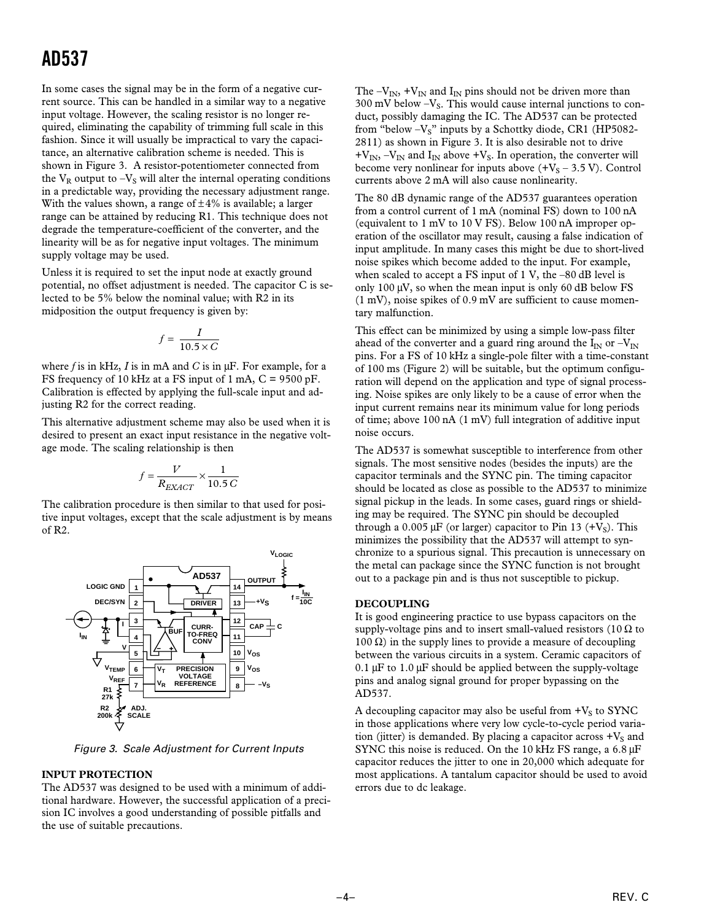In some cases the signal may be in the form of a negative current source. This can be handled in a similar way to a negative input voltage. However, the scaling resistor is no longer required, eliminating the capability of trimming full scale in this fashion. Since it will usually be impractical to vary the capacitance, an alternative calibration scheme is needed. This is shown in Figure 3. A resistor-potentiometer connected from the  $V_R$  output to  $-V_S$  will alter the internal operating conditions in a predictable way, providing the necessary adjustment range. With the values shown, a range of  $\pm 4\%$  is available; a larger range can be attained by reducing R1. This technique does not degrade the temperature-coefficient of the converter, and the linearity will be as for negative input voltages. The minimum supply voltage may be used.

Unless it is required to set the input node at exactly ground potential, no offset adjustment is needed. The capacitor C is selected to be 5% below the nominal value; with R2 in its midposition the output frequency is given by:

$$
f = \frac{I}{10.5 \times C}
$$

where *f* is in kHz, *I* is in mA and *C* is in µF. For example, for a FS frequency of 10 kHz at a FS input of 1 mA, C = 9500 pF. Calibration is effected by applying the full-scale input and adjusting R2 for the correct reading.

This alternative adjustment scheme may also be used when it is desired to present an exact input resistance in the negative voltage mode. The scaling relationship is then

$$
f = \frac{V}{R_{EXACT}} \times \frac{1}{10.5 \, C}
$$

The calibration procedure is then similar to that used for positive input voltages, except that the scale adjustment is by means of R2.



Figure 3. Scale Adjustment for Current Inputs

#### **INPUT PROTECTION**

The AD537 was designed to be used with a minimum of additional hardware. However, the successful application of a precision IC involves a good understanding of possible pitfalls and the use of suitable precautions.

The  $-V_{IN}$ , +V<sub>IN</sub> and I<sub>IN</sub> pins should not be driven more than 300 mV below  $-V_s$ . This would cause internal junctions to conduct, possibly damaging the IC. The AD537 can be protected from "below -V<sub>S</sub>" inputs by a Schottky diode, CR1 (HP5082-2811) as shown in Figure 3. It is also desirable not to drive  $+V_{IN} -V_{IN}$  and  $I_{IN}$  above  $+V_S$ . In operation, the converter will become very nonlinear for inputs above  $(+V<sub>S</sub> - 3.5 V)$ . Control currents above 2 mA will also cause nonlinearity.

The 80 dB dynamic range of the AD537 guarantees operation from a control current of 1 mA (nominal FS) down to 100 nA (equivalent to 1 mV to 10 V FS). Below 100 nA improper operation of the oscillator may result, causing a false indication of input amplitude. In many cases this might be due to short-lived noise spikes which become added to the input. For example, when scaled to accept a FS input of  $1 \text{ V}$ , the  $-80 \text{ dB}$  level is only 100  $\mu$ V, so when the mean input is only 60 dB below FS (1 mV), noise spikes of 0.9 mV are sufficient to cause momentary malfunction.

This effect can be minimized by using a simple low-pass filter ahead of the converter and a guard ring around the  $I_{IN}$  or  $-V_{IN}$ pins. For a FS of 10 kHz a single-pole filter with a time-constant of 100 ms (Figure 2) will be suitable, but the optimum configuration will depend on the application and type of signal processing. Noise spikes are only likely to be a cause of error when the input current remains near its minimum value for long periods of time; above 100 nA (1 mV) full integration of additive input noise occurs.

The AD537 is somewhat susceptible to interference from other signals. The most sensitive nodes (besides the inputs) are the capacitor terminals and the SYNC pin. The timing capacitor should be located as close as possible to the AD537 to minimize signal pickup in the leads. In some cases, guard rings or shielding may be required. The SYNC pin should be decoupled through a 0.005  $\mu$ F (or larger) capacitor to Pin 13 (+V<sub>S</sub>). This minimizes the possibility that the AD537 will attempt to synchronize to a spurious signal. This precaution is unnecessary on the metal can package since the SYNC function is not brought out to a package pin and is thus not susceptible to pickup.

#### **DECOUPLING**

It is good engineering practice to use bypass capacitors on the supply-voltage pins and to insert small-valued resistors (10  $\Omega$  to 100 Ω) in the supply lines to provide a measure of decoupling between the various circuits in a system. Ceramic capacitors of 0.1  $\mu$ F to 1.0  $\mu$ F should be applied between the supply-voltage pins and analog signal ground for proper bypassing on the AD537.

A decoupling capacitor may also be useful from  $+V<sub>S</sub>$  to SYNC in those applications where very low cycle-to-cycle period variation (jitter) is demanded. By placing a capacitor across  $+V_s$  and SYNC this noise is reduced. On the 10 kHz FS range, a 6.8  $\mu$ F capacitor reduces the jitter to one in 20,000 which adequate for most applications. A tantalum capacitor should be used to avoid errors due to dc leakage.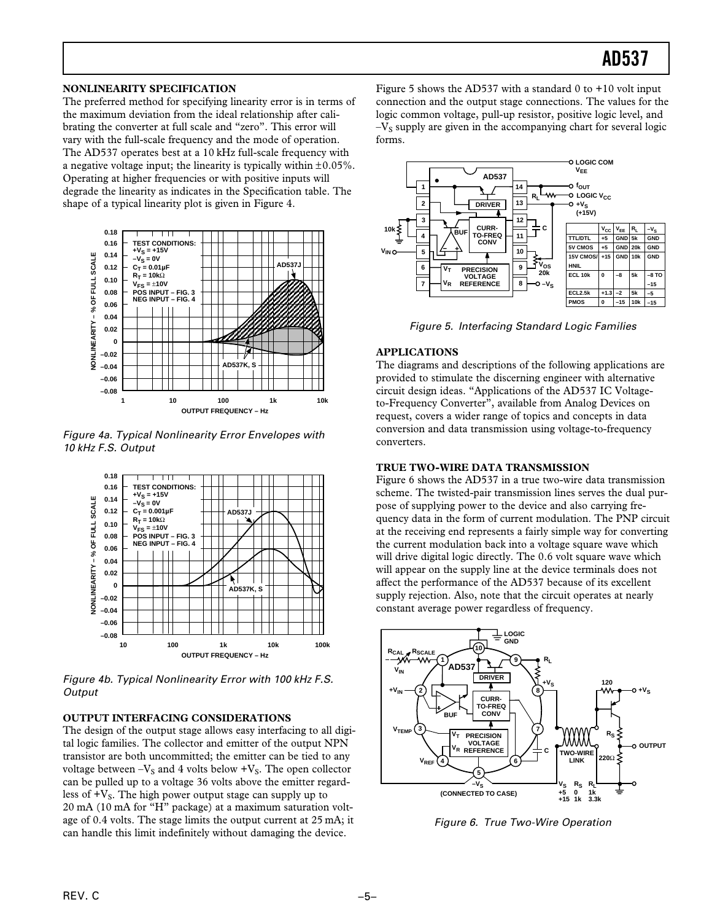#### **NONLINEARITY SPECIFICATION**

The preferred method for specifying linearity error is in terms of the maximum deviation from the ideal relationship after calibrating the converter at full scale and "zero". This error will vary with the full-scale frequency and the mode of operation. The AD537 operates best at a 10 kHz full-scale frequency with a negative voltage input; the linearity is typically within  $\pm 0.05\%$ . Operating at higher frequencies or with positive inputs will degrade the linearity as indicates in the Specification table. The shape of a typical linearity plot is given in Figure 4.



Figure 4a. Typical Nonlinearity Error Envelopes with 10 kHz F.S. Output



Figure 4b. Typical Nonlinearity Error with 100 kHz F.S. **Output** 

#### **OUTPUT INTERFACING CONSIDERATIONS**

The design of the output stage allows easy interfacing to all digital logic families. The collector and emitter of the output NPN transistor are both uncommitted; the emitter can be tied to any voltage between  $-V<sub>S</sub>$  and 4 volts below  $+V<sub>S</sub>$ . The open collector can be pulled up to a voltage 36 volts above the emitter regardless of  $+V_s$ . The high power output stage can supply up to 20 mA (10 mA for "H" package) at a maximum saturation voltage of 0.4 volts. The stage limits the output current at 25 mA; it can handle this limit indefinitely without damaging the device.

Figure 5 shows the AD537 with a standard 0 to  $+10$  volt input connection and the output stage connections. The values for the logic common voltage, pull-up resistor, positive logic level, and  $-V<sub>S</sub>$  supply are given in the accompanying chart for several logic forms.



Figure 5. Interfacing Standard Logic Families

#### **APPLICATIONS**

The diagrams and descriptions of the following applications are provided to stimulate the discerning engineer with alternative circuit design ideas. "Applications of the AD537 IC Voltageto-Frequency Converter", available from Analog Devices on request, covers a wider range of topics and concepts in data conversion and data transmission using voltage-to-frequency converters.

#### **TRUE TWO-WIRE DATA TRANSMISSION**

Figure 6 shows the AD537 in a true two-wire data transmission scheme. The twisted-pair transmission lines serves the dual purpose of supplying power to the device and also carrying frequency data in the form of current modulation. The PNP circuit at the receiving end represents a fairly simple way for converting the current modulation back into a voltage square wave which will drive digital logic directly. The 0.6 volt square wave which will appear on the supply line at the device terminals does not affect the performance of the AD537 because of its excellent supply rejection. Also, note that the circuit operates at nearly constant average power regardless of frequency.



Figure 6. True Two-Wire Operation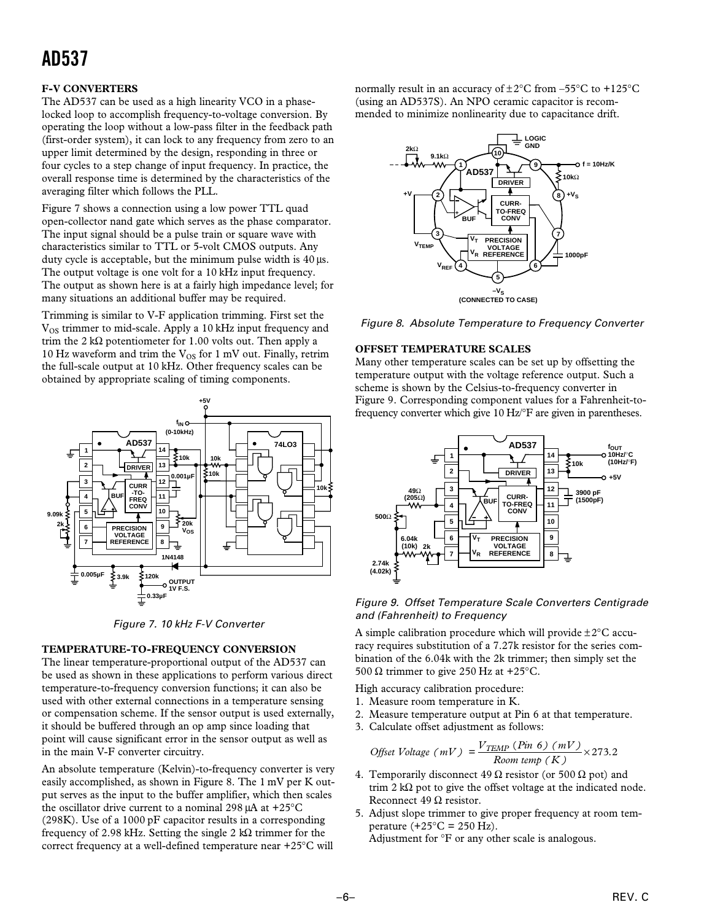### **F-V CONVERTERS**

The AD537 can be used as a high linearity VCO in a phaselocked loop to accomplish frequency-to-voltage conversion. By operating the loop without a low-pass filter in the feedback path (first-order system), it can lock to any frequency from zero to an upper limit determined by the design, responding in three or four cycles to a step change of input frequency. In practice, the overall response time is determined by the characteristics of the averaging filter which follows the PLL.

Figure 7 shows a connection using a low power TTL quad open-collector nand gate which serves as the phase comparator. The input signal should be a pulse train or square wave with characteristics similar to TTL or 5-volt CMOS outputs. Any duty cycle is acceptable, but the minimum pulse width is 40 µs. The output voltage is one volt for a 10 kHz input frequency. The output as shown here is at a fairly high impedance level; for many situations an additional buffer may be required.

Trimming is similar to V-F application trimming. First set the V<sub>OS</sub> trimmer to mid-scale. Apply a 10 kHz input frequency and trim the 2 k $\Omega$  potentiometer for 1.00 volts out. Then apply a 10 Hz waveform and trim the  $V_{OS}$  for 1 mV out. Finally, retrim the full-scale output at 10 kHz. Other frequency scales can be obtained by appropriate scaling of timing components.



Figure 7. 10 kHz F-V Converter

#### **TEMPERATURE-TO-FREQUENCY CONVERSION**

The linear temperature-proportional output of the AD537 can be used as shown in these applications to perform various direct temperature-to-frequency conversion functions; it can also be used with other external connections in a temperature sensing or compensation scheme. If the sensor output is used externally, it should be buffered through an op amp since loading that point will cause significant error in the sensor output as well as in the main V-F converter circuitry.

An absolute temperature (Kelvin)-to-frequency converter is very easily accomplished, as shown in Figure 8. The 1 mV per K output serves as the input to the buffer amplifier, which then scales the oscillator drive current to a nominal 298 µA at +25°C (298K). Use of a 1000 pF capacitor results in a corresponding frequency of 2.98 kHz. Setting the single 2 kΩ trimmer for the correct frequency at a well-defined temperature near +25°C will

normally result in an accuracy of  $\pm 2^{\circ}$ C from -55°C to +125°C (using an AD537S). An NPO ceramic capacitor is recommended to minimize nonlinearity due to capacitance drift.





#### **OFFSET TEMPERATURE SCALES**

Many other temperature scales can be set up by offsetting the temperature output with the voltage reference output. Such a scheme is shown by the Celsius-to-frequency converter in Figure 9. Corresponding component values for a Fahrenheit-tofrequency converter which give 10 Hz/°F are given in parentheses.



Figure 9. Offset Temperature Scale Converters Centigrade and (Fahrenheit) to Frequency

A simple calibration procedure which will provide  $\pm 2^{\circ}$ C accuracy requires substitution of a 7.27k resistor for the series combination of the 6.04k with the 2k trimmer; then simply set the 500 Ω trimmer to give 250 Hz at +25 $^{\circ}$ C.

High accuracy calibration procedure:

- 1. Measure room temperature in K.
- 2. Measure temperature output at Pin 6 at that temperature.
- 3. Calculate offset adjustment as follows:

$$
Offset Voltage (mV) = \frac{V_{TEMP} (Pin 6) (mV)}{Room temp (K)} \times 273.2
$$

- 4. Temporarily disconnect 49  $\Omega$  resistor (or 500  $\Omega$  pot) and trim 2 kΩ pot to give the offset voltage at the indicated node. Reconnect 49  $\Omega$  resistor.
- 5. Adjust slope trimmer to give proper frequency at room temperature  $(+25^{\circ}$ C = 250 Hz).

Adjustment for °F or any other scale is analogous.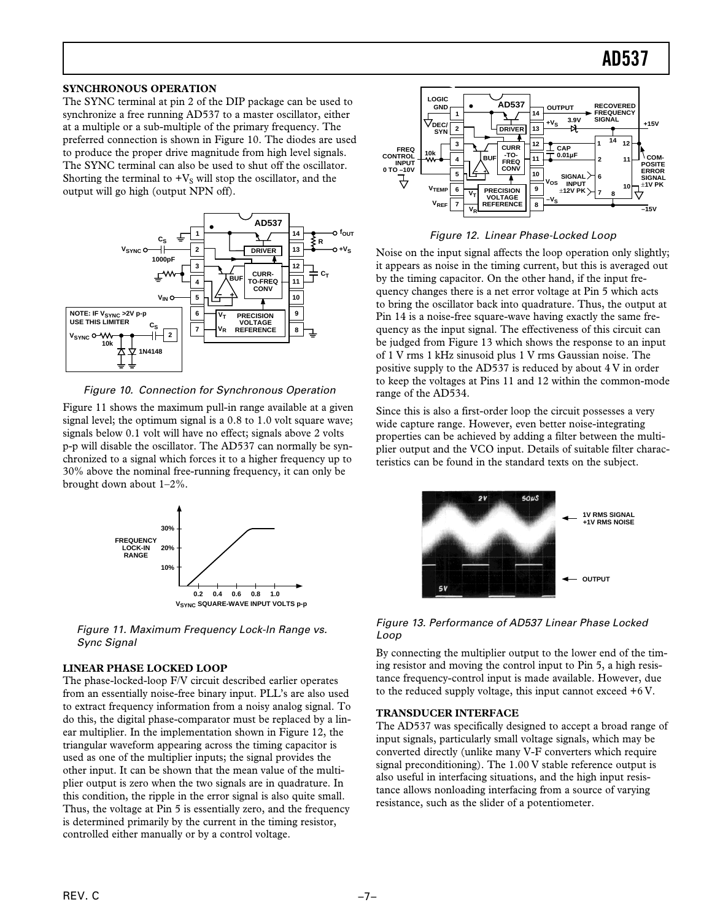#### **SYNCHRONOUS OPERATION**

The SYNC terminal at pin 2 of the DIP package can be used to synchronize a free running AD537 to a master oscillator, either at a multiple or a sub-multiple of the primary frequency. The preferred connection is shown in Figure 10. The diodes are used to produce the proper drive magnitude from high level signals. The SYNC terminal can also be used to shut off the oscillator. Shorting the terminal to  $+V_S$  will stop the oscillator, and the output will go high (output NPN off).



Figure 10. Connection for Synchronous Operation

Figure 11 shows the maximum pull-in range available at a given signal level; the optimum signal is a 0.8 to 1.0 volt square wave; signals below 0.1 volt will have no effect; signals above 2 volts p-p will disable the oscillator. The AD537 can normally be synchronized to a signal which forces it to a higher frequency up to 30% above the nominal free-running frequency, it can only be brought down about 1–2%.



Figure 11. Maximum Frequency Lock-ln Range vs. Sync Signal

#### **LINEAR PHASE LOCKED LOOP**

The phase-locked-loop F/V circuit described earlier operates from an essentially noise-free binary input. PLL's are also used to extract frequency information from a noisy analog signal. To do this, the digital phase-comparator must be replaced by a linear multiplier. In the implementation shown in Figure 12, the triangular waveform appearing across the timing capacitor is used as one of the multiplier inputs; the signal provides the other input. It can be shown that the mean value of the multiplier output is zero when the two signals are in quadrature. In this condition, the ripple in the error signal is also quite small. Thus, the voltage at Pin 5 is essentially zero, and the frequency is determined primarily by the current in the timing resistor, controlled either manually or by a control voltage.



Figure 12. Linear Phase-Locked Loop

Noise on the input signal affects the loop operation only slightly; it appears as noise in the timing current, but this is averaged out by the timing capacitor. On the other hand, if the input frequency changes there is a net error voltage at Pin 5 which acts to bring the oscillator back into quadrature. Thus, the output at Pin 14 is a noise-free square-wave having exactly the same frequency as the input signal. The effectiveness of this circuit can be judged from Figure 13 which shows the response to an input of 1 V rms 1 kHz sinusoid plus 1 V rms Gaussian noise. The positive supply to the AD537 is reduced by about 4 V in order to keep the voltages at Pins 11 and 12 within the common-mode range of the AD534.

Since this is also a first-order loop the circuit possesses a very wide capture range. However, even better noise-integrating properties can be achieved by adding a filter between the multiplier output and the VCO input. Details of suitable filter characteristics can be found in the standard texts on the subject.



Figure 13. Performance of AD537 Linear Phase Locked Loop

By connecting the multiplier output to the lower end of the timing resistor and moving the control input to Pin 5, a high resistance frequency-control input is made available. However, due to the reduced supply voltage, this input cannot exceed +6 V.

#### **TRANSDUCER INTERFACE**

The AD537 was specifically designed to accept a broad range of input signals, particularly small voltage signals, which may be converted directly (unlike many V-F converters which require signal preconditioning). The 1.00 V stable reference output is also useful in interfacing situations, and the high input resistance allows nonloading interfacing from a source of varying resistance, such as the slider of a potentiometer.